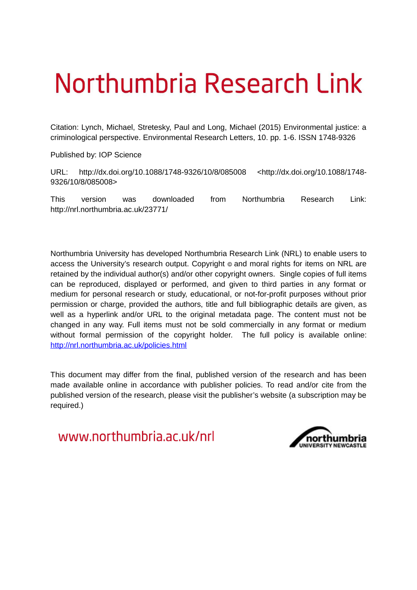# Northumbria Research Link

Citation: Lynch, Michael, Stretesky, Paul and Long, Michael (2015) Environmental justice: a criminological perspective. Environmental Research Letters, 10. pp. 1-6. ISSN 1748-9326

Published by: IOP Science

URL: http://dx.doi.org/10.1088/1748-9326/10/8/085008 <http://dx.doi.org/10.1088/1748- 9326/10/8/085008>

This version was downloaded from Northumbria Research Link: http://nrl.northumbria.ac.uk/23771/

Northumbria University has developed Northumbria Research Link (NRL) to enable users to access the University's research output. Copyright  $\circ$  and moral rights for items on NRL are retained by the individual author(s) and/or other copyright owners. Single copies of full items can be reproduced, displayed or performed, and given to third parties in any format or medium for personal research or study, educational, or not-for-profit purposes without prior permission or charge, provided the authors, title and full bibliographic details are given, as well as a hyperlink and/or URL to the original metadata page. The content must not be changed in any way. Full items must not be sold commercially in any format or medium without formal permission of the copyright holder. The full policy is available online: <http://nrl.northumbria.ac.uk/policies.html>

This document may differ from the final, published version of the research and has been made available online in accordance with publisher policies. To read and/or cite from the published version of the research, please visit the publisher's website (a subscription may be required.)

www.northumbria.ac.uk/nrl

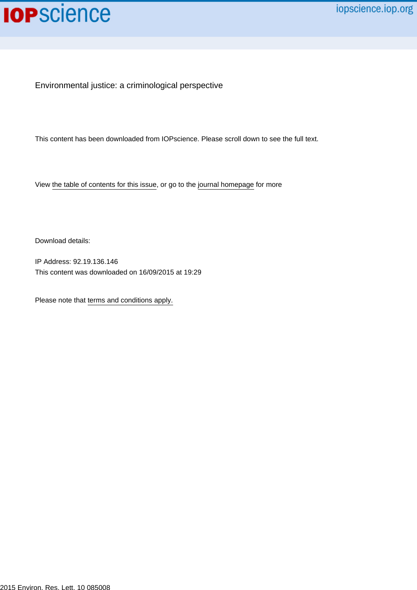## <span id="page-1-0"></span>**IOP**science

Environmental justice: a criminological perspective

This content has been downloaded from IOPscience. Please scroll down to see the full text.

View [the table of contents for this issue](http://iopscience.iop.org/1748-9326/10/8), or go to the [journal homepage](http://iopscience.iop.org/1748-9326) for more

Download details:

IP Address: 92.19.136.146 This content was downloaded on 16/09/2015 at 19:29

Please note that [terms and conditions apply.](iopscience.iop.org/page/terms)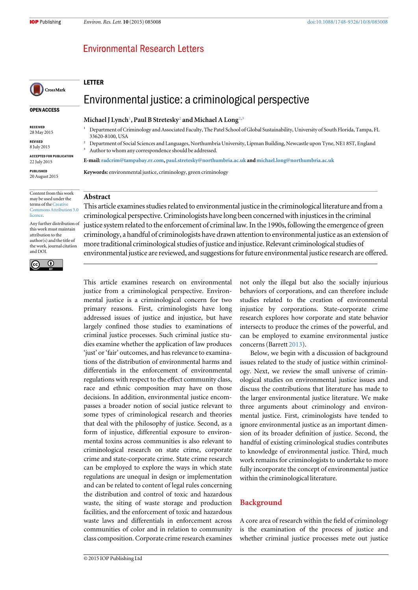#### **Environmental Research Letters**

Michael J Lynch<sup>[1](#page-1-0)</sup>, Paul B Stretesky<sup>[2](#page-1-0)</sup> and Michael A Long<sup>[2,3](#page-1-0)</sup>

Author to whom any correspondence should be addressed.

Keywords: environmental justice, criminology, green criminology

#### LETTER

33620-8100, USA

### Environmental justice: a criminological perspective

#### OPEN ACCESS

CrossMark

RECEIVED 28 May 2015

REVISED

#### 8 July 2015 ACCEPTED FOR PUBLICATION

22 July 2015

PUBLISHED 20 August 2015

#### Content from this work may be used under the terms of the [Creative](http://creativecommons.org/licenses/by/3.0) [Commons Attribution 3.0](http://creativecommons.org/licenses/by/3.0) [licence.](http://creativecommons.org/licenses/by/3.0)

Any further distribution of this work must maintain attribution to the author(s) and the title of the work, journal citation and DOI.



#### Abstract

This article examines studies related to environmental justice in the criminological literature and from a criminological perspective. Criminologists have long been concerned with injustices in the criminal justice system related to the enforcement of criminal law. In the 1990s, following the emergence of green criminology, a handful of criminologists have drawn attention to environmental justice as an extension of more traditional criminological studies of justice and injustice. Relevant criminological studies of environmental justice are reviewed, and suggestions for future environmental justice research are offered.

<sup>1</sup> Department of Criminology and Associated Faculty, The Patel School of Global Sustainability, University of South Florida, Tampa, FL

<sup>2</sup> Department of Social Sciences and Languages, Northumbria University, Lipman Building, Newcastle upon Tyne, NE1 8ST, England<br><sup>3</sup> Author to whom any correspondence should be addressed

E-mail:[radcrim@tampabay.rr.com](mailto:radcrim@tampabay.rr.com), [paul.stretesky@northumbria.ac.uk](mailto:paul.stretesky@northumbria.ac.uk) and [michael.long@northumbria.ac.uk](mailto:michael.long@northumbria.ac.uk)

This article examines research on environmental justice from a criminological perspective. Environmental justice is a criminological concern for two primary reasons. First, criminologists have long addressed issues of justice and injustice, but have largely confined those studies to examinations of criminal justice processes. Such criminal justice studies examine whether the application of law produces 'just' or'fair' outcomes, and has relevance to examinations of the distribution of environmental harms and differentials in the enforcement of environmental regulations with respect to the effect community class, race and ethnic composition may have on those decisions. In addition, environmental justice encompasses a broader notion of social justice relevant to some types of criminological research and theories that deal with the philosophy of justice. Second, as a form of injustice, differential exposure to environmental toxins across communities is also relevant to criminological research on state crime, corporate crime and state-corporate crime. State crime research can be employed to explore the ways in which state regulations are unequal in design or implementation and can be related to content of legal rules concerning the distribution and control of toxic and hazardous waste, the siting of waste storage and production facilities, and the enforcement of toxic and hazardous waste laws and differentials in enforcement across communities of color and in relation to community class composition. Corporate crime research examines

not only the illegal but also the socially injurious behaviors of corporations, and can therefore include studies related to the creation of environmental injustice by corporations. State-corporate crime research explores how corporate and state behavior intersects to produce the crimes of the powerful, and can be employed to examine environmental justice concerns (Barrett [2013\)](#page-5-0).

Below, we begin with a discussion of background issues related to the study of justice within criminology. Next, we review the small universe of criminological studies on environmental justice issues and discuss the contributions that literature has made to the larger environmental justice literature. We make three arguments about criminology and environmental justice. First, criminologists have tended to ignore environmental justice as an important dimension of its broader definition of justice. Second, the handful of existing criminological studies contributes to knowledge of environmental justice. Third, much work remains for criminologists to undertake to more fully incorporate the concept of environmental justice within the criminological literature.

#### Background

A core area of research within the field of criminology is the examination of the process of justice and whether criminal justice processes mete out justice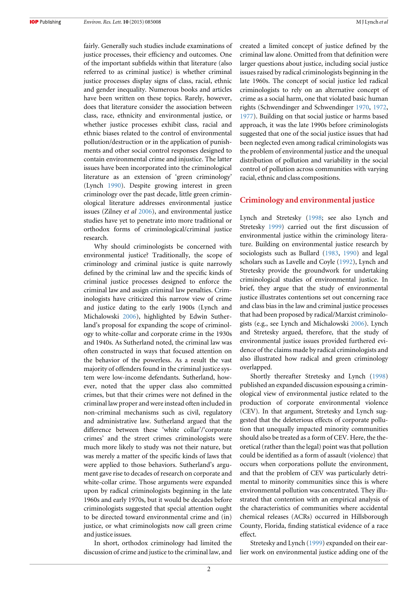fairly. Generally such studies include examinations of justice processes, their efficiency and outcomes. One of the important subfields within that literature (also referred to as criminal justice) is whether criminal justice processes display signs of class, racial, ethnic and gender inequality. Numerous books and articles have been written on these topics. Rarely, however, does that literature consider the association between class, race, ethnicity and environmental justice, or whether justice processes exhibit class, racial and ethnic biases related to the control of environmental pollution/destruction or in the application of punishments and other social control responses designed to contain environmental crime and injustice. The latter issues have been incorporated into the criminological literature as an extension of 'green criminology' (Lynch [1990](#page-6-0)). Despite growing interest in green criminology over the past decade, little green criminological literature addresses environmental justice issues (Zilney e*t al* [2006](#page-6-0)), and environmental justice studies have yet to penetrate into more traditional or orthodox forms of criminological/criminal justice research.

Why should criminologists be concerned with environmental justice? Traditionally, the scope of criminology and criminal justice is quite narrowly defined by the criminal law and the specific kinds of criminal justice processes designed to enforce the criminal law and assign criminal law penalties. Criminologists have criticized this narrow view of crime and justice dating to the early 1900s (Lynch and Michalowski [2006\)](#page-6-0), highlighted by Edwin Sutherland's proposal for expanding the scope of criminology to white-collar and corporate crime in the 1930s and 1940s. As Sutherland noted, the criminal law was often constructed in ways that focused attention on the behavior of the powerless. As a result the vast majority of offenders found in the criminal justice system were low-income defendants. Sutherland, however, noted that the upper class also committed crimes, but that their crimes were not defined in the criminal law proper and were instead often included in non-criminal mechanisms such as civil, regulatory and administrative law. Sutherland argued that the difference between these 'white collar'/'corporate crimes' and the street crimes criminologists were much more likely to study was not their nature, but was merely a matter of the specific kinds of laws that were applied to those behaviors. Sutherland's argument gave rise to decades of research on corporate and white-collar crime. Those arguments were expanded upon by radical criminologists beginning in the late 1960s and early 1970s, but it would be decades before criminologists suggested that special attention ought to be directed toward environmental crime and (in) justice, or what criminologists now call green crime and justice issues.

In short, orthodox criminology had limited the discussion of crime and justice to the criminal law, and created a limited concept of justice defined by the criminal law alone. Omitted from that definition were larger questions about justice, including social justice issues raised by radical criminologists beginning in the late 1960s. The concept of social justice led radical criminologists to rely on an alternative concept of crime as a social harm, one that violated basic human rights (Schwendinger and Schwendinger [1970,](#page-6-0) [1972](#page-6-0), [1977\)](#page-6-0). Building on that social justice or harms based approach, it was the late 1990s before criminologists suggested that one of the social justice issues that had been neglected even among radical criminologists was the problem of environmental justice and the unequal distribution of pollution and variability in the social control of pollution across communities with varying racial, ethnic and class compositions.

#### Criminology and environmental justice

Lynch and Stretesky [\(1998](#page-6-0); see also Lynch and Stretesky [1999](#page-6-0)) carried out the first discussion of environmental justice within the criminology literature. Building on environmental justice research by sociologists such as Bullard ([1983](#page-5-0), [1990\)](#page-5-0) and legal scholars such as Lavelle and Coyle [\(1992](#page-6-0)), Lynch and Stretesky provide the groundwork for undertaking criminological studies of environmental justice. In brief, they argue that the study of environmental justice illustrates contentions set out concerning race and class bias in the law and criminal justice processes that had been proposed by radical/Marxist criminologists (e.g., see Lynch and Michalowski [2006](#page-6-0)). Lynch and Stretesky argued, therefore, that the study of environmental justice issues provided furthered evidence of the claims made by radical criminologists and also illustrated how radical and green criminology overlapped.

Shortly thereafter Stretesky and Lynch [\(1998](#page-6-0)) published an expanded discussion espousing a criminological view of environmental justice related to the production of corporate environmental violence (CEV). In that argument, Stretesky and Lynch suggested that the deleterious effects of corporate pollution that unequally impacted minority communities should also be treated as a form of CEV. Here, the theoretical (rather than the legal) point was that pollution could be identified as a form of assault (violence) that occurs when corporations pollute the environment, and that the problem of CEV was particularly detrimental to minority communities since this is where environmental pollution was concentrated. They illustrated that contention with an empirical analysis of the characteristics of communities where accidental chemical releases (ACRs) occurred in Hillsborough County, Florida, finding statistical evidence of a race effect.

Stretesky and Lynch [\(1999](#page-6-0)) expanded on their earlier work on environmental justice adding one of the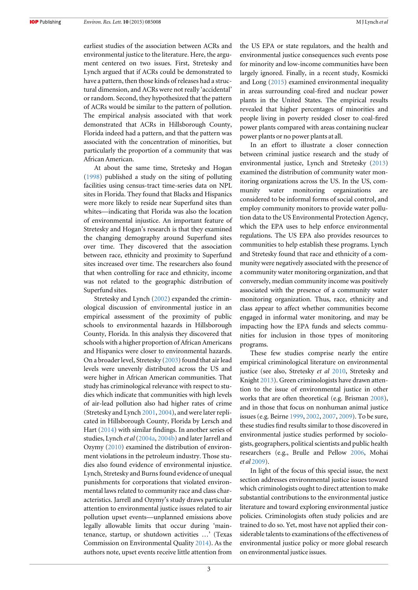earliest studies of the association between ACRs and environmental justice to the literature. Here, the argument centered on two issues. First, Stretesky and Lynch argued that if ACRs could be demonstrated to have a pattern, then those kinds of releases had a structural dimension, and ACRs were not really 'accidental' or random. Second, they hypothesized that the pattern of ACRs would be similar to the pattern of pollution. The empirical analysis associated with that work demonstrated that ACRs in Hillsborough County, Florida indeed had a pattern, and that the pattern was associated with the concentration of minorities, but particularly the proportion of a community that was African American.

At about the same time, Stretesky and Hogan ([1998\)](#page-6-0) published a study on the siting of polluting facilities using census-tract time-series data on NPL sites in Florida. They found that Blacks and Hispanics were more likely to reside near Superfund sites than whites—indicating that Florida was also the location of environmental injustice. An important feature of Stretesky and Hogan's research is that they examined the changing demography around Superfund sites over time. They discovered that the association between race, ethnicity and proximity to Superfund sites increased over time. The researchers also found that when controlling for race and ethnicity, income was not related to the geographic distribution of Superfund sites.

Stretesky and Lynch ([2002\)](#page-6-0) expanded the criminological discussion of environmental justice in an empirical assessment of the proximity of public schools to environmental hazards in Hillsborough County, Florida. In this analysis they discovered that schools with a higher proportion of African Americans and Hispanics were closer to environmental hazards. On a broader level, Stretesky ([2003\)](#page-6-0) found that air lead levels were unevenly distributed across the US and were higher in African American communities. That study has criminological relevance with respect to studies which indicate that communities with high levels of air-lead pollution also had higher rates of crime (Stretesky and Lynch [2001,](#page-6-0) [2004\)](#page-6-0), and were later replicated in Hillsborough County, Florida by Lersch and Hart [\(2014\)](#page-6-0) with similar findings. In another series of studies, Lynch *et al*[\(2004a,](#page-6-0) [2004b\)](#page-6-0) and later Jarrell and Ozymy ([2010\)](#page-6-0) examined the distribution of environment violations in the petroleum industry. Those studies also found evidence of environmental injustice. Lynch, Stretesky and Burns found evidence of unequal punishments for corporations that violated environmental laws related to community race and class characteristics. Jarrell and Ozymy's study draws particular attention to environmental justice issues related to air pollution upset events—unplanned emissions above legally allowable limits that occur during 'maintenance, startup, or shutdown activities …' (Texas Commission on Environmental Quality [2014](#page-6-0)). As the authors note, upset events receive little attention from the US EPA or state regulators, and the health and environmental justice consequences such events pose for minority and low-income communities have been largely ignored. Finally, in a recent study, Kosmicki and Long ([2015\)](#page-6-0) examined environmental inequality in areas surrounding coal-fired and nuclear power plants in the United States. The empirical results revealed that higher percentages of minorities and people living in poverty resided closer to coal-fired power plants compared with areas containing nuclear power plants or no power plants at all.

In an effort to illustrate a closer connection between criminal justice research and the study of environmental justice, Lynch and Stretesky [\(2013](#page-6-0)) examined the distribution of community water monitoring organizations across the US. In the US, community water monitoring organizations are considered to be informal forms of social control, and employ community monitors to provide water pollution data to the US Environmental Protection Agency, which the EPA uses to help enforce environmental regulations. The US EPA also provides resources to communities to help establish these programs. Lynch and Stretesky found that race and ethnicity of a community were negatively associated with the presence of a community water monitoring organization, and that conversely, median community income was positively associated with the presence of a community water monitoring organization. Thus, race, ethnicity and class appear to affect whether communities become engaged in informal water monitoring, and may be impacting how the EPA funds and selects communities for inclusion in those types of monitoring programs.

These few studies comprise nearly the entire empirical criminological literature on environmental justice (see also, Stretesky *et al* [2010](#page-6-0), Stretesky and Knight [2013\)](#page-6-0). Green criminologists have drawn attention to the issue of environmental justice in other works that are often theoretical (e.g. Brisman [2008\)](#page-5-0), and in those that focus on nonhuman animal justice issues (e.g. Beirne [1999,](#page-5-0) [2002](#page-5-0), [2007](#page-5-0), [2009\)](#page-5-0). To be sure, these studies find results similar to those discovered in environmental justice studies performed by sociologists, geographers, political scientists and public health researchers (e.g., Brulle and Pellow [2006,](#page-5-0) Mohai *et al* [2009\)](#page-6-0).

In light of the focus of this special issue, the next section addresses environmental justice issues toward which criminologists ought to direct attention to make substantial contributions to the environmental justice literature and toward exploring environmental justice policies. Criminologists often study policies and are trained to do so. Yet, most have not applied their considerable talents to examinations of the effectiveness of environmental justice policy or more global research on environmental justice issues.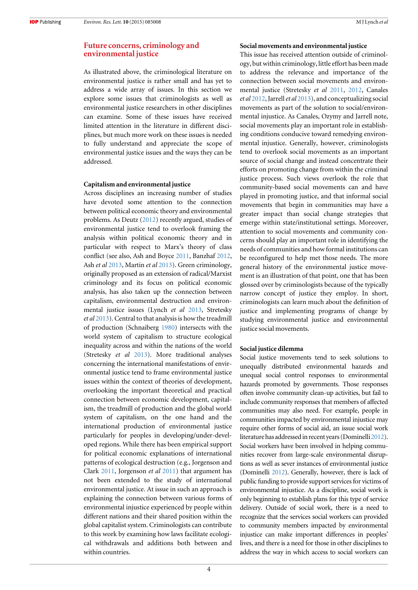#### <span id="page-5-0"></span>Future concerns, criminology and environmental justice

As illustrated above, the criminological literature on environmental justice is rather small and has yet to address a wide array of issues. In this section we explore some issues that criminologists as well as environmental justice researchers in other disciplines can examine. Some of these issues have received limited attention in the literature in different disciplines, but much more work on these issues is needed to fully understand and appreciate the scope of environmental justice issues and the ways they can be addressed.

#### Capitalism and environmental justice

Across disciplines an increasing number of studies have devoted some attention to the connection between political economic theory and environmental problems. As Deutz ([2012\)](#page-6-0) recently argued, studies of environmental justice tend to overlook framing the analysis within political economic theory and in particular with respect to Marx's theory of class conflict (see also, Ash and Boyce 2011, Banzhaf 2012, Ash *et al* 2013, Martin *et al* [2013](#page-6-0)). Green criminology, originally proposed as an extension of radical/Marxist criminology and its focus on political economic analysis, has also taken up the connection between capitalism, environmental destruction and environmental justice issues (Lynch *et al* [2013](#page-6-0), Stretesky *et al* [2013](#page-6-0)). Central to that analysis is how the treadmill of production (Schnaiberg [1980\)](#page-6-0) intersects with the world system of capitalism to structure ecological inequality across and within the nations of the world (Stretesky *et al* [2013](#page-6-0)). More traditional analyses concerning the international manifestations of environmental justice tend to frame environmental justice issues within the context of theories of development, overlooking the important theoretical and practical connection between economic development, capitalism, the treadmill of production and the global world system of capitalism, on the one hand and the international production of environmental justice particularly for peoples in developing/under-developed regions. While there has been empirical support for political economic explanations of international patterns of ecological destruction (e.g., Jorgenson and Clark [2011](#page-6-0), Jorgenson *et al* [2011](#page-6-0)) that argument has not been extended to the study of international environmental justice. At issue in such an approach is explaining the connection between various forms of environmental injustice experienced by people within different nations and their shared position within the global capitalist system. Criminologists can contribute to this work by examining how laws facilitate ecological withdrawals and additions both between and within countries.

#### Social movements and environmental justice

This issue has received attention outside of criminology, but within criminology, little effort has been made to address the relevance and importance of the connection between social movements and environmental justice (Stretesky *et al* [2011](#page-6-0), [2012](#page-6-0), Canales *et al* 2012, Jarrell*et al* [2013\)](#page-6-0), and conceptualizing social movements as part of the solution to social/environmental injustice. As Canales, Ozymy and Jarrell note, social movements play an important role in establishing conditions conducive toward remedying environmental injustice. Generally, however, criminologists tend to overlook social movements as an important source of social change and instead concentrate their efforts on promoting change from within the criminal justice process. Such views overlook the role that community-based social movements can and have played in promoting justice, and that informal social movements that begin in communities may have a greater impact than social change strategies that emerge within state/institutional settings. Moreover, attention to social movements and community concerns should play an important role in identifying the needs of communities and how formal institutions can be reconfigured to help met those needs. The more general history of the environmental justice movement is an illustration of that point, one that has been glossed over by criminologists because of the typically narrow concept of justice they employ. In short, criminologists can learn much about the definition of justice and implementing programs of change by studying environmental justice and environmental justice social movements.

#### Social justice dilemma

Social justice movements tend to seek solutions to unequally distributed environmental hazards and unequal social control responses to environmental hazards promoted by governments. Those responses often involve community clean-up activities, but fail to include community responses that members of affected communities may also need. For example, people in communities impacted by environmental injustice may require other forms of social aid, an issue social work literature has addressed in recent years (Dominelli [2012\)](#page-6-0). Social workers have been involved in helping communities recover from large-scale environmental disruptions as well as sever instances of environmental justice (Dominelli [2012\)](#page-6-0). Generally, however, there is lack of public funding to provide support services for victims of environmental injustice. As a discipline, social work is only beginning to establish plans for this type of service delivery. Outside of social work, there is a need to recognize that the services social workers can provided to community members impacted by environmental injustice can make important differences in peoples' lives, and there is a need for those in other disciplines to address the way in which access to social workers can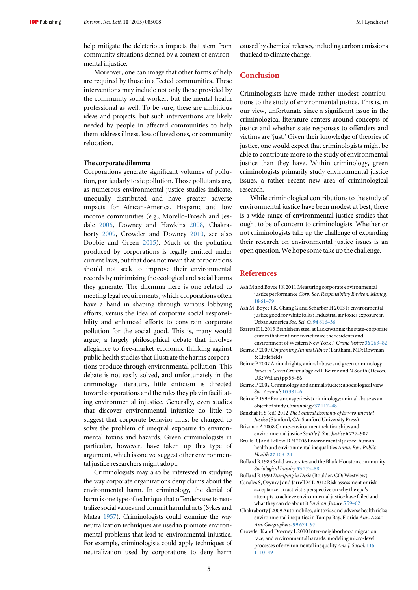<span id="page-6-0"></span>help mitigate the deleterious impacts that stem from community situations defined by a context of environmental injustice.

Moreover, one can image that other forms of help are required by those in affected communities. These interventions may include not only those provided by the community social worker, but the mental health professional as well. To be sure, these are ambitious ideas and projects, but such interventions are likely needed by people in affected communities to help them address illness, loss of loved ones, or community relocation.

#### The corporate dilemma

Corporations generate significant volumes of pollution, particularly toxic pollution. Those pollutants are, as numerous environmental justice studies indicate, unequally distributed and have greater adverse impacts for African-America, Hispanic and low income communities (e.g., Morello-Frosch and Jesdale 2006, Downey and Hawkins 2008, Chakraborty [2009,](#page-5-0) Crowder and Downey [2010](#page-5-0), see also Dobbie and Green 2015). Much of the pollution produced by corporations is legally emitted under current laws, but that does not mean that corporations should not seek to improve their environmental records by minimizing the ecological and social harms they generate. The dilemma here is one related to meeting legal requirements, which corporations often have a hand in shaping through various lobbying efforts, versus the idea of corporate social responsibility and enhanced efforts to constrain corporate pollution for the social good. This is, many would argue, a largely philosophical debate that involves allegiance to free-market economic thinking against public health studies that illustrate the harms corporations produce through environmental pollution. This debate is not easily solved, and unfortunately in the criminology literature, little criticism is directed toward corporations and the roles they play in facilitating environmental injustice. Generally, even studies that discover environmental injustice do little to suggest that corporate behavior must be changed to solve the problem of unequal exposure to environmental toxins and hazards. Green criminologists in particular, however, have taken up this type of argument, which is one we suggest other environmental justice researchers might adopt.

Criminologists may also be interested in studying the way corporate organizations deny claims about the environmental harm. In criminology, the denial of harm is one type of technique that offenders use to neutralize social values and commit harmful acts (Sykes and Matza 1957). Criminologists could examine the way neutralization techniques are used to promote environmental problems that lead to environmental injustice. For example, criminologists could apply techniques of neutralization used by corporations to deny harm

caused by chemical releases, including carbon emissions that lead to climate change.

#### **Conclusion**

Criminologists have made rather modest contributions to the study of environmental justice. This is, in our view, unfortunate since a significant issue in the criminological literature centers around concepts of justice and whether state responses to offenders and victims are 'just.' Given their knowledge of theories of justice, one would expect that criminologists might be able to contribute more to the study of environmental justice than they have. Within criminology, green criminologists primarily study environmental justice issues, a rather recent new area of criminological research.

While criminological contributions to the study of environmental justice have been modest at best, there is a wide-range of environmental justice studies that ought to be of concern to criminologists. Whether or not criminologists take up the challenge of expanding their research on environmental justice issues is an open question. We hope some take up the challenge.

#### References

- Ash M and Boyce J K 2011 Measuring corporate environmental justice performance *Corp. Soc. Responsibility Environ. Manag.* [18](http://dx.doi.org/10.1002/csr.238) 61–79
- Ash M, Boyce J K, Chang G and Scharber H 2013 Is environmental justice good for white folks? Industrial air toxics exposure in Urban America *Soc. Sci. Q.* 94 [616](http://dx.doi.org/10.1111/j.1540-6237.2012.00874.x)–36
- Barrett K L 2013 Bethlehem steel at Lackawanna: the state-corporate crimes that continue to victimize the residents and environment of Western New York *J. Crime Justice* 36 [263](http://dx.doi.org/10.1080/0735648X.2012.752258)–82
- Beirne P 2009*Confronting Animal Abuse*(Lantham, MD: Rowman & Littlefield)
- Beirne P 2007 Animal rights, animal abuse and green criminology *Issues in Green Criminology* ed P Beirne and N South (Devon, UK: Willan) pp 55–86
- Beirne P 2002 Criminology and animal studies: a sociological view *Soc. Animals* 10 [381](http://dx.doi.org/10.1163/156853002320936845)–6
- Beirne P 1999 For a nonspeciesist criminology: animal abuse as an object of study *Criminology* 37 [117](http://dx.doi.org/10.1111/j.1745-9125.1999.tb00481.x)–48
- Banzhaf H S (ed) 2012 *The Political Economy of Environmental Justice*(Stanford, CA: Stanford University Press)
- Brisman A 2008 Crime-environment relationships and environmental justice *Seattle J. Soc. Justice* 6 727–907
- Brulle R J and Pellow D N 2006 Environmental justice: human health and environmental inequalities *Annu. Rev. Public Health* 27 [103](http://dx.doi.org/10.1146/annurev.publhealth.27.021405.102124)–24
- Bullard R 1983 Solid waste sites and the Black Houston community *Sociological Inquiry* 53 [273](http://dx.doi.org/10.1111/j.1475-682X.1983.tb00037.x)–88
- Bullard R 1990 *Dumping in Dixie*(Boulder, CO: Westview)
- Canales S, Ozymy J and Jarrell M L 2012 Risk assessment or risk acceptance: an activist's perspective on why the epa's attempts to achieve environmental justice have failed and what they can do about it *Environ. Justice* 5 [59](http://dx.doi.org/10.1089/env.2011.0031)–62
- Chakraborty J 2009 Automobiles, air toxics and adverse health risks: environmental inequities in Tampa Bay, Florida *Ann. Assoc. Am. Geographers.* 99 [674](http://dx.doi.org/10.1080/00045600903066490)–97
- Crowder K and Downey L 2010 Inter-neighborhood migration, race, and environmental hazards: modeling micro-level processes of environmental inequality *Am. J. Sociol.* [115](http://dx.doi.org/10.1086/649576) [1110](http://dx.doi.org/10.1086/649576)–49